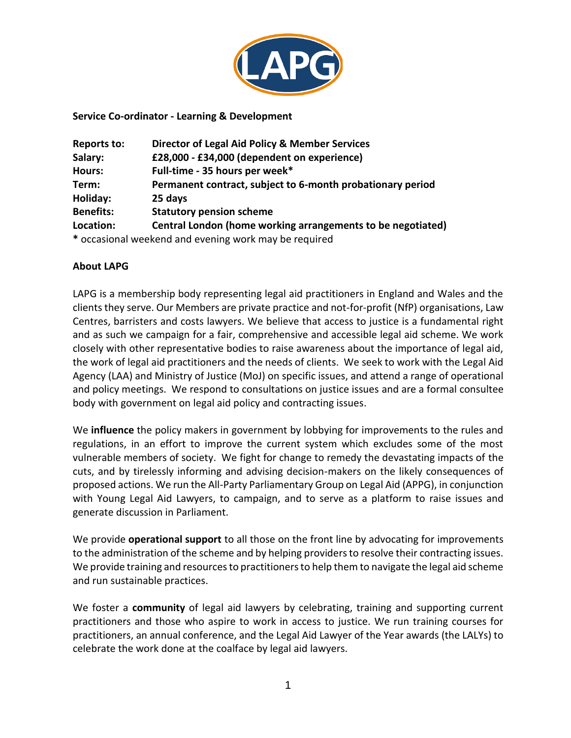

### **Service Co-ordinator - Learning & Development**

| Reports to:                                           | <b>Director of Legal Aid Policy &amp; Member Services</b>   |  |  |  |
|-------------------------------------------------------|-------------------------------------------------------------|--|--|--|
| Salary:                                               | £28,000 - £34,000 (dependent on experience)                 |  |  |  |
| Hours:                                                | Full-time - 35 hours per week*                              |  |  |  |
| Term:                                                 | Permanent contract, subject to 6-month probationary period  |  |  |  |
| Holiday:                                              | 25 days                                                     |  |  |  |
| <b>Statutory pension scheme</b><br><b>Benefits:</b>   |                                                             |  |  |  |
| Location:                                             | Central London (home working arrangements to be negotiated) |  |  |  |
| * occasional weekend and evening work may be required |                                                             |  |  |  |

### **About LAPG**

LAPG is a membership body representing legal aid practitioners in England and Wales and the clients they serve. Our Members are private practice and not-for-profit (NfP) organisations, Law Centres, barristers and costs lawyers. We believe that access to justice is a fundamental right and as such we campaign for a fair, comprehensive and accessible legal aid scheme. We work closely with other representative bodies to raise awareness about the importance of legal aid, the work of legal aid practitioners and the needs of clients. We seek to work with the Legal Aid Agency (LAA) and Ministry of Justice (MoJ) on specific issues, and attend a range of operational and policy meetings. We respond to consultations on justice issues and are a formal consultee body with government on legal aid policy and contracting issues.

We **influence** the policy makers in government by lobbying for improvements to the rules and regulations, in an effort to improve the current system which excludes some of the most vulnerable members of society. We fight for change to remedy the devastating impacts of the cuts, and by tirelessly informing and advising decision-makers on the likely consequences of proposed actions. We run the All-Party Parliamentary Group on Legal Aid (APPG), in conjunction with Young Legal Aid Lawyers, to campaign, and to serve as a platform to raise issues and generate discussion in Parliament.

We provide **operational support** to all those on the front line by advocating for improvements to the administration of the scheme and by helping providers to resolve their contracting issues. We provide training and resources to practitioners to help them to navigate the legal aid scheme and run sustainable practices.

We foster a **community** of legal aid lawyers by celebrating, training and supporting current practitioners and those who aspire to work in access to justice. We run training courses for practitioners, an annual conference, and the Legal Aid Lawyer of the Year awards (the LALYs) to celebrate the work done at the coalface by legal aid lawyers.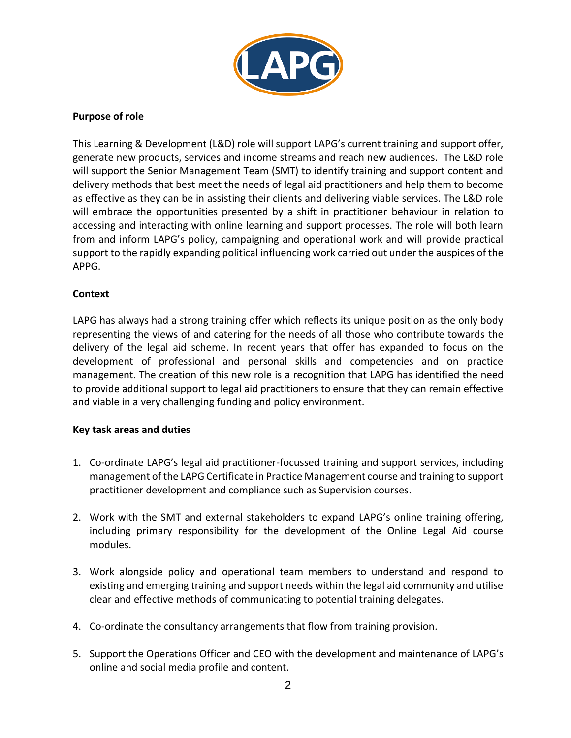

### **Purpose of role**

This Learning & Development (L&D) role will support LAPG's current training and support offer, generate new products, services and income streams and reach new audiences. The L&D role will support the Senior Management Team (SMT) to identify training and support content and delivery methods that best meet the needs of legal aid practitioners and help them to become as effective as they can be in assisting their clients and delivering viable services. The L&D role will embrace the opportunities presented by a shift in practitioner behaviour in relation to accessing and interacting with online learning and support processes. The role will both learn from and inform LAPG's policy, campaigning and operational work and will provide practical support to the rapidly expanding political influencing work carried out under the auspices of the APPG.

## **Context**

LAPG has always had a strong training offer which reflects its unique position as the only body representing the views of and catering for the needs of all those who contribute towards the delivery of the legal aid scheme. In recent years that offer has expanded to focus on the development of professional and personal skills and competencies and on practice management. The creation of this new role is a recognition that LAPG has identified the need to provide additional support to legal aid practitioners to ensure that they can remain effective and viable in a very challenging funding and policy environment.

## **Key task areas and duties**

- 1. Co-ordinate LAPG's legal aid practitioner-focussed training and support services, including management of the LAPG Certificate in Practice Management course and training to support practitioner development and compliance such as Supervision courses.
- 2. Work with the SMT and external stakeholders to expand LAPG's online training offering, including primary responsibility for the development of the Online Legal Aid course modules.
- 3. Work alongside policy and operational team members to understand and respond to existing and emerging training and support needs within the legal aid community and utilise clear and effective methods of communicating to potential training delegates.
- 4. Co-ordinate the consultancy arrangements that flow from training provision.
- 5. Support the Operations Officer and CEO with the development and maintenance of LAPG's online and social media profile and content.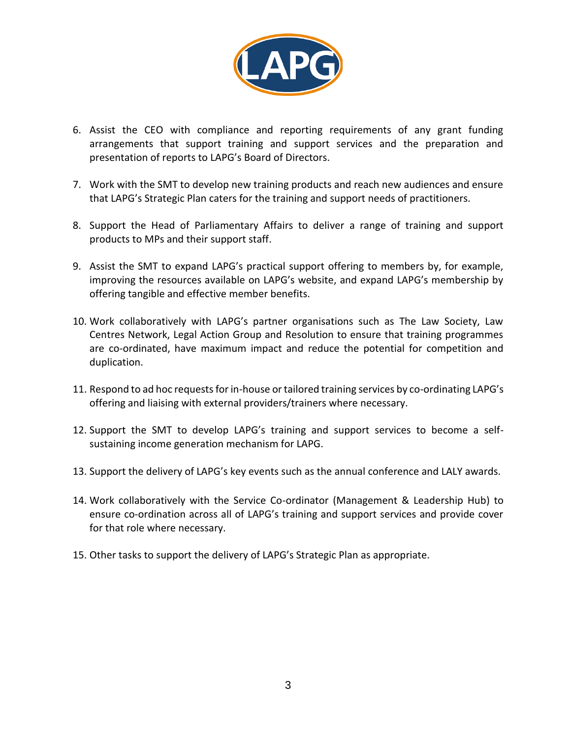

- 6. Assist the CEO with compliance and reporting requirements of any grant funding arrangements that support training and support services and the preparation and presentation of reports to LAPG's Board of Directors.
- 7. Work with the SMT to develop new training products and reach new audiences and ensure that LAPG's Strategic Plan caters for the training and support needs of practitioners.
- 8. Support the Head of Parliamentary Affairs to deliver a range of training and support products to MPs and their support staff.
- 9. Assist the SMT to expand LAPG's practical support offering to members by, for example, improving the resources available on LAPG's website, and expand LAPG's membership by offering tangible and effective member benefits.
- 10. Work collaboratively with LAPG's partner organisations such as The Law Society, Law Centres Network, Legal Action Group and Resolution to ensure that training programmes are co-ordinated, have maximum impact and reduce the potential for competition and duplication.
- 11. Respond to ad hoc requests for in-house or tailored training services by co-ordinating LAPG's offering and liaising with external providers/trainers where necessary.
- 12. Support the SMT to develop LAPG's training and support services to become a selfsustaining income generation mechanism for LAPG.
- 13. Support the delivery of LAPG's key events such as the annual conference and LALY awards.
- 14. Work collaboratively with the Service Co-ordinator (Management & Leadership Hub) to ensure co-ordination across all of LAPG's training and support services and provide cover for that role where necessary.
- 15. Other tasks to support the delivery of LAPG's Strategic Plan as appropriate.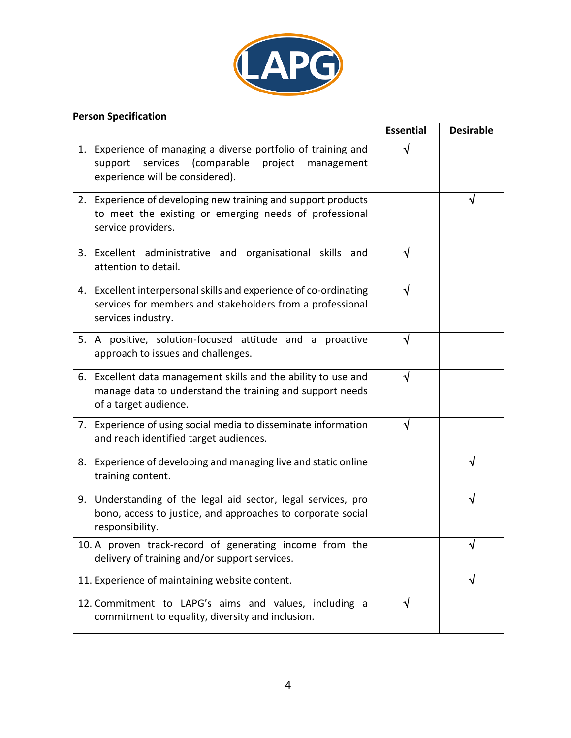

# **Person Specification**

|                                                |                                                                                                                                                              | <b>Essential</b> | <b>Desirable</b> |
|------------------------------------------------|--------------------------------------------------------------------------------------------------------------------------------------------------------------|------------------|------------------|
|                                                | 1. Experience of managing a diverse portfolio of training and<br>services (comparable<br>project<br>support<br>management<br>experience will be considered). | ิง               |                  |
|                                                | 2. Experience of developing new training and support products<br>to meet the existing or emerging needs of professional<br>service providers.                |                  |                  |
|                                                | 3. Excellent administrative and organisational skills and<br>attention to detail.                                                                            |                  |                  |
|                                                | 4. Excellent interpersonal skills and experience of co-ordinating<br>services for members and stakeholders from a professional<br>services industry.         |                  |                  |
|                                                | 5. A positive, solution-focused attitude and a proactive<br>approach to issues and challenges.                                                               | V                |                  |
|                                                | 6. Excellent data management skills and the ability to use and<br>manage data to understand the training and support needs<br>of a target audience.          |                  |                  |
|                                                | 7. Experience of using social media to disseminate information<br>and reach identified target audiences.                                                     |                  |                  |
| 8.                                             | Experience of developing and managing live and static online<br>training content.                                                                            |                  |                  |
|                                                | 9. Understanding of the legal aid sector, legal services, pro<br>bono, access to justice, and approaches to corporate social<br>responsibility.              |                  |                  |
|                                                | 10. A proven track-record of generating income from the<br>delivery of training and/or support services.                                                     |                  | ٧                |
| 11. Experience of maintaining website content. |                                                                                                                                                              |                  | √                |
|                                                | 12. Commitment to LAPG's aims and values, including a<br>commitment to equality, diversity and inclusion.                                                    | V                |                  |